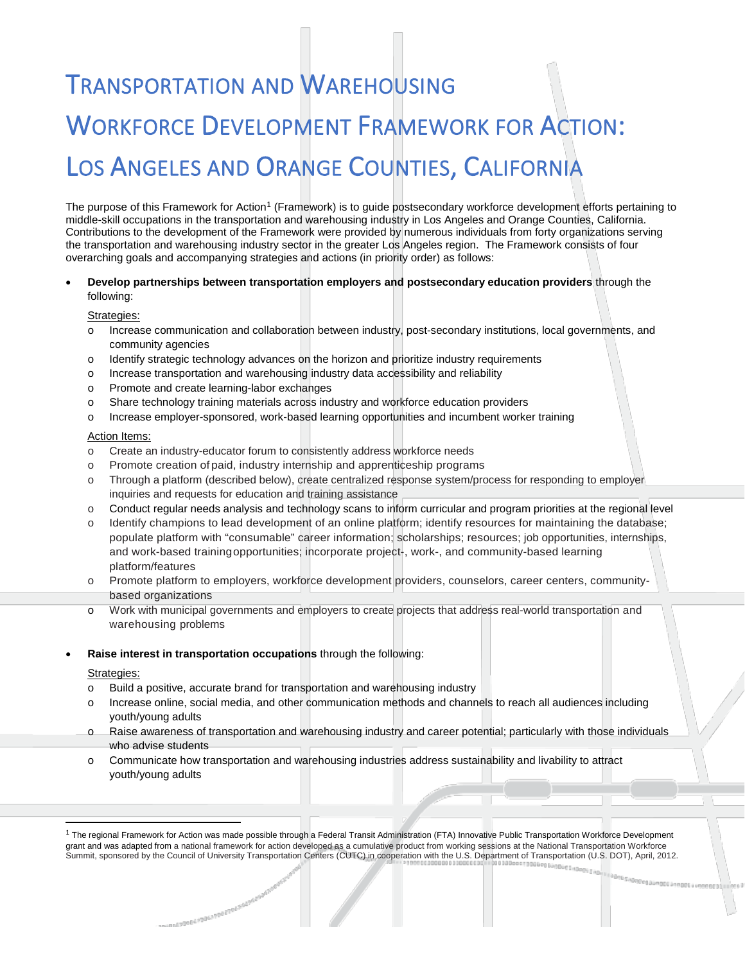# **TRANSPORTATION AND WAREHOUSING** WORKFORCE DEVELOPMENT FRAMEWORK FOR ACTION: LOS ANGELES AND ORANGE COUNTIES, CALIFORNIA

The purpose of this Framework for Action<sup>1</sup> (Framework) is to guide postsecondary workforce development efforts pertaining to middle-skill occupations in the transportation and warehousing industry in Los Angeles and Orange Counties, California. Contributions to the development of the Framework were provided by numerous individuals from forty organizations serving the transportation and warehousing industry sector in the greater Los Angeles region. The Framework consists of four overarching goals and accompanying strategies and actions (in priority order) as follows:

## • **Develop partnerships between transportation employers and postsecondary education providers** through the following:

## Strategies:

- Increase communication and collaboration between industry, post-secondary institutions, local governments, and community agencies
- o Identify strategic technology advances on the horizon and prioritize industry requirements
- o Increase transportation and warehousing industry data accessibility and reliability
- o Promote and create learning-labor exchanges
- o Share technology training materials across industry and workforce education providers
- o Increase employer-sponsored, work-based learning opportunities and incumbent worker training

#### Action Items:

- o Create an industry-educator forum to consistently address workforce needs
- o Promote creation of paid, industry internship and apprenticeship programs
- o Through a platform (described below), create centralized response system/process for responding to employer inquiries and requests for education and training assistance
- o Conduct regular needs analysis and technology scans to inform curricular and program priorities at the regional level
- o Identify champions to lead development of an online platform; identify resources for maintaining the database; populate platform with "consumable" career information; scholarships; resources; job opportunities, internships, and work-based trainingopportunities; incorporate project-, work-, and community-based learning platform/features
- o Promote platform to employers, workforce development providers, counselors, career centers, communitybased organizations
- o Work with municipal governments and employers to create projects that address real-world transportation and warehousing problems
- **Raise interest in transportation occupations** through the following:

-metadoes-adeanoes-adeanoes-adean

#### Strategies:

- o Build a positive, accurate brand for transportation and warehousing industry
- Increase online, social media, and other communication methods and channels to reach all audiences including youth/young adults
- o Raise awareness of transportation and warehousing industry and career potential; particularly with those individuals who advise students
- o Communicate how transportation and warehousing industries address sustainability and livability to attract youth/young adults

<span id="page-0-0"></span> $1$  The regional Framework for Action was made possible through a Federal Transit Administration (FTA) Innovative Public Transportation Workforce Development grant and was adapted from a national framework for action developed as a cumulative product from working sessions at the National Transportation Workforce Summit, sponsored by the Council of University Transportation Centers (CUTC) in cooperation with the U.S. Department of Transportation (U.S. DOT), April, 2012.